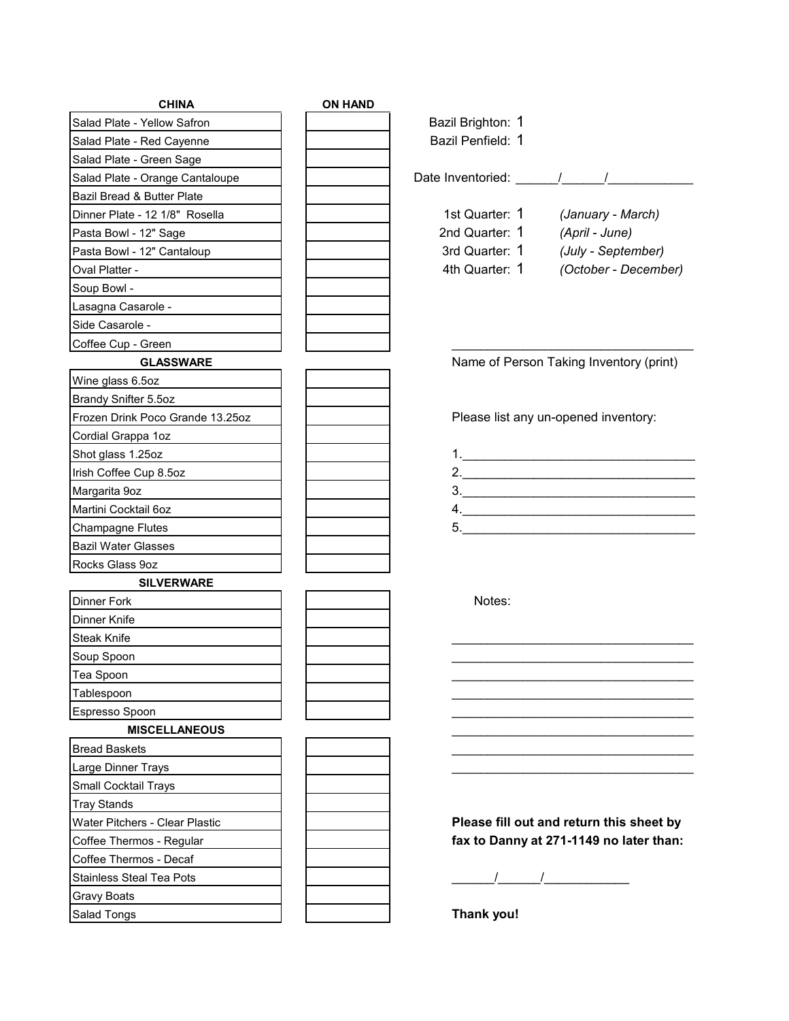| <b>CHINA</b>                                       | <b>ON HAND</b>                                                                                                                                                                                                                                                                                                                                                                                                                                                                |
|----------------------------------------------------|-------------------------------------------------------------------------------------------------------------------------------------------------------------------------------------------------------------------------------------------------------------------------------------------------------------------------------------------------------------------------------------------------------------------------------------------------------------------------------|
| Salad Plate - Yellow Safron                        | Bazil Brighton: 1                                                                                                                                                                                                                                                                                                                                                                                                                                                             |
| Salad Plate - Red Cayenne                          | Bazil Penfield: 1                                                                                                                                                                                                                                                                                                                                                                                                                                                             |
| Salad Plate - Green Sage                           |                                                                                                                                                                                                                                                                                                                                                                                                                                                                               |
| Salad Plate - Orange Cantaloupe                    | Date Inventoried: 1 / /                                                                                                                                                                                                                                                                                                                                                                                                                                                       |
| Bazil Bread & Butter Plate                         |                                                                                                                                                                                                                                                                                                                                                                                                                                                                               |
| Dinner Plate - 12 1/8" Rosella                     | 1st Quarter: 1 (January - March)                                                                                                                                                                                                                                                                                                                                                                                                                                              |
| Pasta Bowl - 12" Sage                              | 2nd Quarter: 1 (April - June)                                                                                                                                                                                                                                                                                                                                                                                                                                                 |
| Pasta Bowl - 12" Cantaloup                         | 3rd Quarter: 1 (July - September)                                                                                                                                                                                                                                                                                                                                                                                                                                             |
| Oval Platter -                                     | 4th Quarter: 1 (October - December)                                                                                                                                                                                                                                                                                                                                                                                                                                           |
| Soup Bowl -                                        |                                                                                                                                                                                                                                                                                                                                                                                                                                                                               |
| Lasagna Casarole -                                 |                                                                                                                                                                                                                                                                                                                                                                                                                                                                               |
| Side Casarole -                                    |                                                                                                                                                                                                                                                                                                                                                                                                                                                                               |
| Coffee Cup - Green                                 |                                                                                                                                                                                                                                                                                                                                                                                                                                                                               |
| <b>GLASSWARE</b>                                   | Name of Person Taking Inventory (print)                                                                                                                                                                                                                                                                                                                                                                                                                                       |
| Wine glass 6.5oz                                   |                                                                                                                                                                                                                                                                                                                                                                                                                                                                               |
| Brandy Snifter 5.5oz                               |                                                                                                                                                                                                                                                                                                                                                                                                                                                                               |
| Frozen Drink Poco Grande 13.25oz                   | Please list any un-opened inventory:                                                                                                                                                                                                                                                                                                                                                                                                                                          |
| Cordial Grappa 1oz                                 |                                                                                                                                                                                                                                                                                                                                                                                                                                                                               |
| Shot glass 1.25oz                                  |                                                                                                                                                                                                                                                                                                                                                                                                                                                                               |
| Irish Coffee Cup 8.5oz                             | 2.                                                                                                                                                                                                                                                                                                                                                                                                                                                                            |
| Margarita 9oz                                      | $\begin{array}{c c c c c} \hline \rule{0pt}{8ex} \multicolumn{3}{c} \multicolumn{3}{c} \multicolumn{3}{c} \multicolumn{3}{c} \multicolumn{3}{c} \multicolumn{3}{c} \multicolumn{3}{c} \multicolumn{3}{c} \multicolumn{3}{c} \multicolumn{3}{c} \multicolumn{3}{c} \multicolumn{3}{c} \multicolumn{3}{c} \multicolumn{3}{c} \multicolumn{3}{c} \multicolumn{3}{c} \multicolumn{3}{c} \multicolumn{3}{c} \multicolumn{3}{c} \multicolumn{3}{c} \multicolumn{3}{c} \multicolumn$ |
| Martini Cocktail 6oz                               | 4.                                                                                                                                                                                                                                                                                                                                                                                                                                                                            |
| <b>Champagne Flutes</b>                            |                                                                                                                                                                                                                                                                                                                                                                                                                                                                               |
| <b>Bazil Water Glasses</b>                         |                                                                                                                                                                                                                                                                                                                                                                                                                                                                               |
| Rocks Glass 9oz                                    |                                                                                                                                                                                                                                                                                                                                                                                                                                                                               |
| <b>SILVERWARE</b>                                  |                                                                                                                                                                                                                                                                                                                                                                                                                                                                               |
| Dinner Fork                                        | Notes:                                                                                                                                                                                                                                                                                                                                                                                                                                                                        |
| Dinner Knife                                       |                                                                                                                                                                                                                                                                                                                                                                                                                                                                               |
| <b>Steak Knife</b>                                 |                                                                                                                                                                                                                                                                                                                                                                                                                                                                               |
| Soup Spoon                                         |                                                                                                                                                                                                                                                                                                                                                                                                                                                                               |
| Tea Spoon                                          |                                                                                                                                                                                                                                                                                                                                                                                                                                                                               |
| Tablespoon                                         |                                                                                                                                                                                                                                                                                                                                                                                                                                                                               |
| Espresso Spoon                                     |                                                                                                                                                                                                                                                                                                                                                                                                                                                                               |
| <b>MISCELLANEOUS</b>                               |                                                                                                                                                                                                                                                                                                                                                                                                                                                                               |
| <b>Bread Baskets</b>                               |                                                                                                                                                                                                                                                                                                                                                                                                                                                                               |
| Large Dinner Trays                                 |                                                                                                                                                                                                                                                                                                                                                                                                                                                                               |
| Small Cocktail Trays                               |                                                                                                                                                                                                                                                                                                                                                                                                                                                                               |
| <b>Tray Stands</b>                                 |                                                                                                                                                                                                                                                                                                                                                                                                                                                                               |
| Water Pitchers - Clear Plastic                     | Please fill out and return this sheet by                                                                                                                                                                                                                                                                                                                                                                                                                                      |
|                                                    | fax to Danny at 271-1149 no later than:                                                                                                                                                                                                                                                                                                                                                                                                                                       |
| Coffee Thermos - Regular<br>Coffee Thermos - Decaf |                                                                                                                                                                                                                                                                                                                                                                                                                                                                               |
| <b>Stainless Steal Tea Pots</b>                    |                                                                                                                                                                                                                                                                                                                                                                                                                                                                               |
|                                                    |                                                                                                                                                                                                                                                                                                                                                                                                                                                                               |
| Gravy Boats                                        |                                                                                                                                                                                                                                                                                                                                                                                                                                                                               |
| Salad Tongs                                        | Thank you!                                                                                                                                                                                                                                                                                                                                                                                                                                                                    |